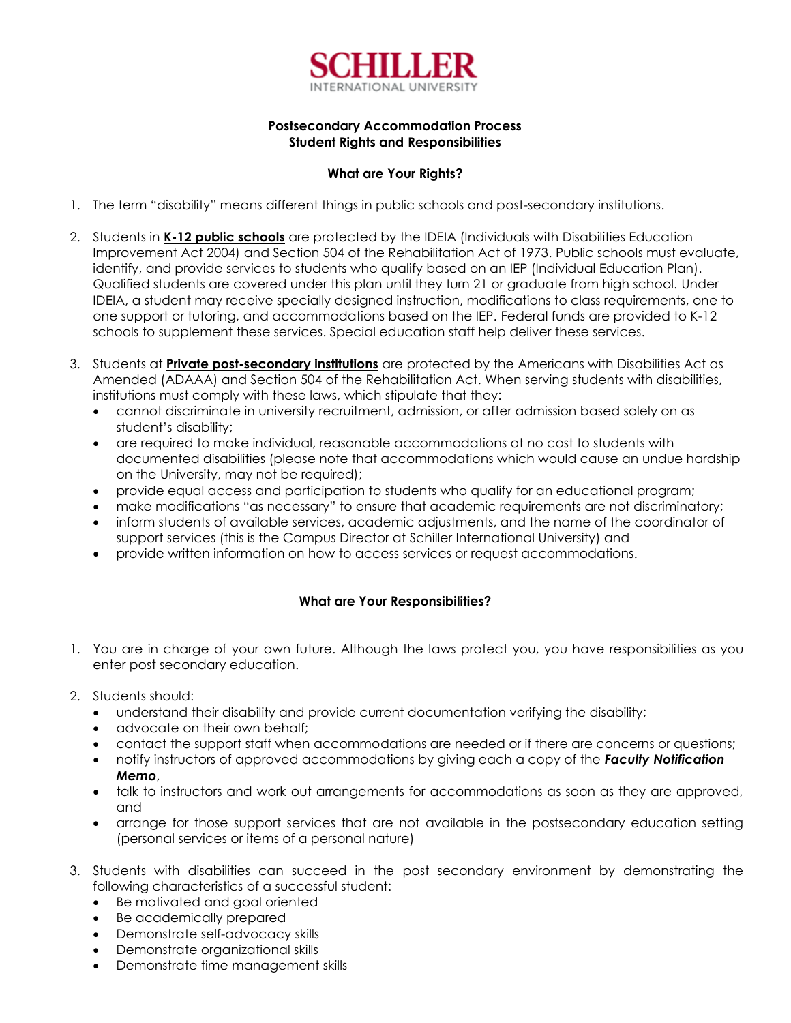

# **Postsecondary Accommodation Process Student Rights and Responsibilities**

# **What are Your Rights?**

- 1. The term "disability" means different things in public schools and post-secondary institutions.
- 2. Students in **K-12 public schools** are protected by the IDEIA (Individuals with Disabilities Education Improvement Act 2004) and Section 504 of the Rehabilitation Act of 1973. Public schools must evaluate, identify, and provide services to students who qualify based on an IEP (Individual Education Plan). Qualified students are covered under this plan until they turn 21 or graduate from high school. Under IDEIA, a student may receive specially designed instruction, modifications to class requirements, one to one support or tutoring, and accommodations based on the IEP. Federal funds are provided to K-12 schools to supplement these services. Special education staff help deliver these services.
- 3. Students at **Private post-secondary institutions** are protected by the Americans with Disabilities Act as Amended (ADAAA) and Section 504 of the Rehabilitation Act. When serving students with disabilities, institutions must comply with these laws, which stipulate that they:
	- cannot discriminate in university recruitment, admission, or after admission based solely on as student's disability;
	- are required to make individual, reasonable accommodations at no cost to students with documented disabilities (please note that accommodations which would cause an undue hardship on the University, may not be required);
	- provide equal access and participation to students who qualify for an educational program;
	- make modifications "as necessary" to ensure that academic requirements are not discriminatory;
	- inform students of available services, academic adjustments, and the name of the coordinator of support services (this is the Campus Director at Schiller International University) and
	- provide written information on how to access services or request accommodations.

# **What are Your Responsibilities?**

- 1. You are in charge of your own future. Although the laws protect you, you have responsibilities as you enter post secondary education.
- 2. Students should:
	- understand their disability and provide current documentation verifying the disability;
	- advocate on their own behalf:
	- contact the support staff when accommodations are needed or if there are concerns or questions;
	- notify instructors of approved accommodations by giving each a copy of the *Faculty Notification Memo*,
	- talk to instructors and work out arrangements for accommodations as soon as they are approved, and
	- arrange for those support services that are not available in the postsecondary education setting (personal services or items of a personal nature)
- 3. Students with disabilities can succeed in the post secondary environment by demonstrating the following characteristics of a successful student:
	- Be motivated and goal oriented
	- Be academically prepared
	- Demonstrate self-advocacy skills
	- Demonstrate organizational skills
	- Demonstrate time management skills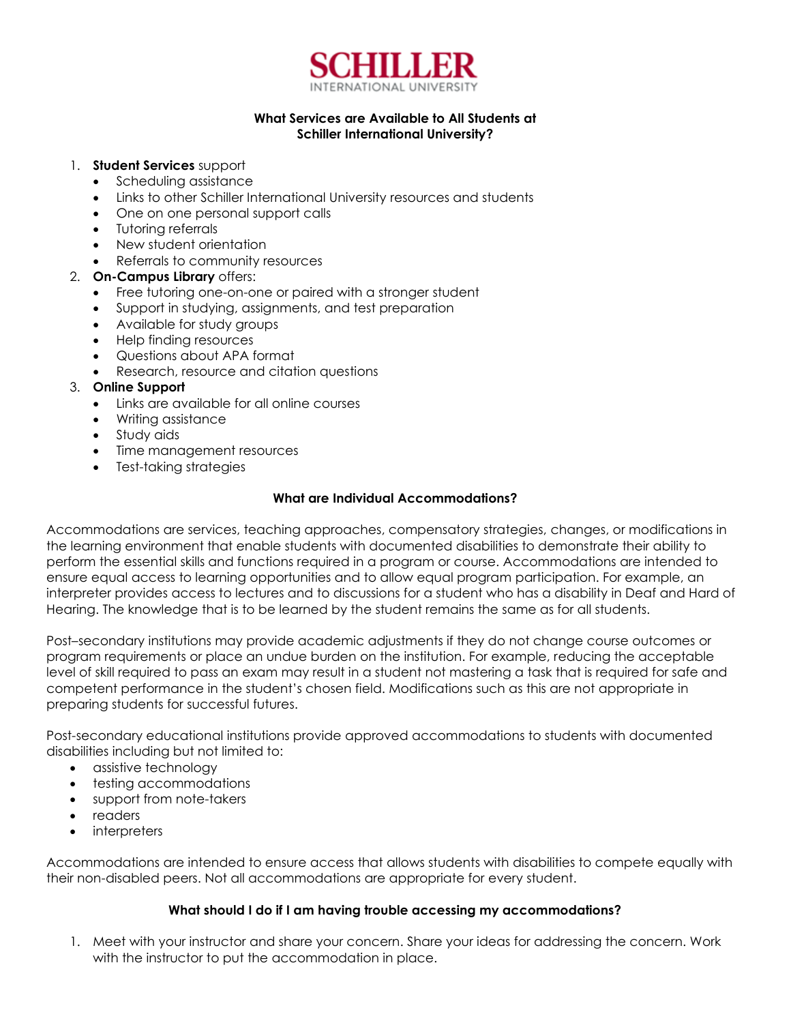

# **What Services are Available to All Students at Schiller International University?**

#### 1. **Student Services** support

- Scheduling assistance
- Links to other Schiller International University resources and students
- One on one personal support calls
- Tutoring referrals
- New student orientation
- Referrals to community resources

### 2. **On-Campus Library** offers:

- Free tutoring one-on-one or paired with a stronger student
- Support in studying, assignments, and test preparation
- Available for study groups
- Help finding resources
- Questions about APA format
- Research, resource and citation questions

### 3. **Online Support**

- Links are available for all online courses
- Writing assistance
- Study aids
- Time management resources
- Test-taking strategies

### **What are Individual Accommodations?**

Accommodations are services, teaching approaches, compensatory strategies, changes, or modifications in the learning environment that enable students with documented disabilities to demonstrate their ability to perform the essential skills and functions required in a program or course. Accommodations are intended to ensure equal access to learning opportunities and to allow equal program participation. For example, an interpreter provides access to lectures and to discussions for a student who has a disability in Deaf and Hard of Hearing. The knowledge that is to be learned by the student remains the same as for all students.

Post–secondary institutions may provide academic adjustments if they do not change course outcomes or program requirements or place an undue burden on the institution. For example, reducing the acceptable level of skill required to pass an exam may result in a student not mastering a task that is required for safe and competent performance in the student's chosen field. Modifications such as this are not appropriate in preparing students for successful futures.

Post-secondary educational institutions provide approved accommodations to students with documented disabilities including but not limited to:

- assistive technology
- testing accommodations
- support from note-takers
- readers
- **interpreters**

Accommodations are intended to ensure access that allows students with disabilities to compete equally with their non-disabled peers. Not all accommodations are appropriate for every student.

### **What should I do if I am having trouble accessing my accommodations?**

1. Meet with your instructor and share your concern. Share your ideas for addressing the concern. Work with the instructor to put the accommodation in place.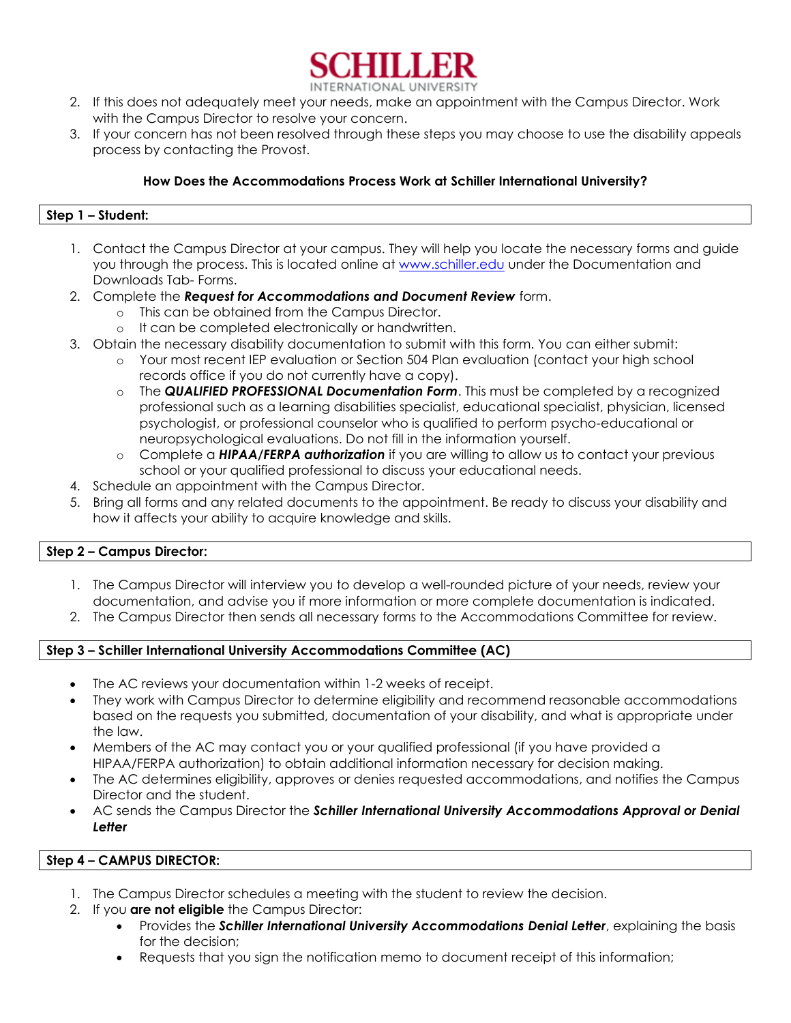

- 2. If this does not adequately meet your needs, make an appointment with the Campus Director. Work with the Campus Director to resolve your concern.
- 3. If your concern has not been resolved through these steps you may choose to use the disability appeals process by contacting the Provost.

# **How Does the Accommodations Process Work at Schiller International University?**

# **Step 1 – Student:**

- 1. Contact the Campus Director at your campus. They will help you locate the necessary forms and guide you through the process. This is located online at [www.schiller.edu](http://www.schiller.edu/) under the Documentation and Downloads Tab- Forms.
- 2. Complete the *Request for Accommodations and Document Review* form.
	- o This can be obtained from the Campus Director.
	- o It can be completed electronically or handwritten.
- 3. Obtain the necessary disability documentation to submit with this form. You can either submit:
	- o Your most recent IEP evaluation or Section 504 Plan evaluation (contact your high school records office if you do not currently have a copy).
	- o The *QUALIFIED PROFESSIONAL Documentation Form*. This must be completed by a recognized professional such as a learning disabilities specialist, educational specialist, physician, licensed psychologist, or professional counselor who is qualified to perform psycho-educational or neuropsychological evaluations. Do not fill in the information yourself.
	- o Complete a *HIPAA/FERPA authorization* if you are willing to allow us to contact your previous school or your qualified professional to discuss your educational needs.
- 4. Schedule an appointment with the Campus Director.
- 5. Bring all forms and any related documents to the appointment. Be ready to discuss your disability and how it affects your ability to acquire knowledge and skills.

### **Step 2 – Campus Director:**

- 1. The Campus Director will interview you to develop a well-rounded picture of your needs, review your documentation, and advise you if more information or more complete documentation is indicated.
- 2. The Campus Director then sends all necessary forms to the Accommodations Committee for review.

### **Step 3 – Schiller International University Accommodations Committee (AC)**

- The AC reviews your documentation within 1-2 weeks of receipt.
- They work with Campus Director to determine eligibility and recommend reasonable accommodations based on the requests you submitted, documentation of your disability, and what is appropriate under the law.
- Members of the AC may contact you or your qualified professional (if you have provided a HIPAA/FERPA authorization) to obtain additional information necessary for decision making.
- The AC determines eligibility, approves or denies requested accommodations, and notifies the Campus Director and the student.
- AC sends the Campus Director the *Schiller International University Accommodations Approval or Denial Letter*

# **Step 4 – CAMPUS DIRECTOR:**

- 1. The Campus Director schedules a meeting with the student to review the decision.
- 2. If you **are not eligible** the Campus Director:
	- Provides the *Schiller International University Accommodations Denial Letter*, explaining the basis for the decision;
	- Requests that you sign the notification memo to document receipt of this information;